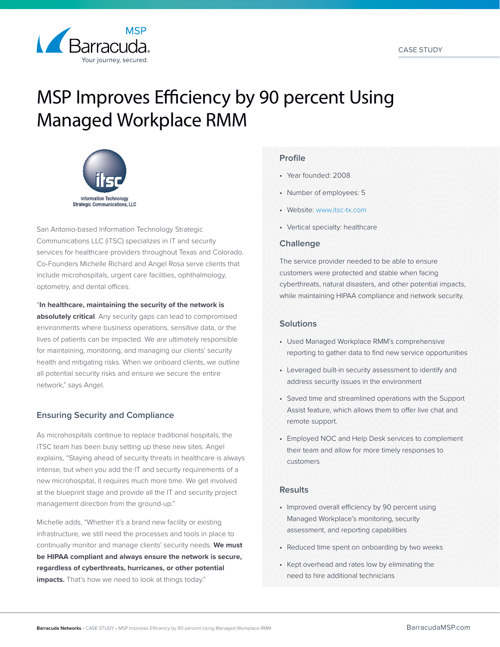

# MSP Improves Efficiency by 90 percent Using Managed Workplace RMM



San Antonio-based Information Technology Strategic Communications LLC (iTSC) specializes in IT and security services for healthcare providers throughout Texas and Colorado. Co-Founders Michelle Richard and Angel Rosa serve clients that include microhospitals, urgent care facilities, ophthalmology, optometry, and dental offices.

#### "**In healthcare, maintaining the security of the network is**

**absolutely critical**. Any security gaps can lead to compromised environments where business operations, sensitive data, or the lives of patients can be impacted. We are ultimately responsible for maintaining, monitoring, and managing our clients' security health and mitigating risks. When we onboard clients, we outline all potential security risks and ensure we secure the entire network," says Angel.

# **Ensuring Security and Compliance**

As microhospitals continue to replace traditional hospitals, the iTSC team has been busy setting up these new sites. Angel explains, "Staying ahead of security threats in healthcare is always intense, but when you add the IT and security requirements of a new microhospital, it requires much more time. We get involved at the blueprint stage and provide all the IT and security project management direction from the ground-up."

Michelle adds, "Whether it's a brand new facility or existing infrastructure, we still need the processes and tools in place to continually monitor and manage clients' security needs. **We must be HIPAA compliant and always ensure the network is secure, regardless of cyberthreats, hurricanes, or other potential impacts.** That's how we need to look at things today."

# **Profile**

- Year founded: 2008
- Number of employees: 5
- Website: [www.itsc-tx.com](http://www.itsc-tx.com)
- Vertical specialty: healthcare

#### **Challenge**

The service provider needed to be able to ensure customers were protected and stable when facing cyberthreats, natural disasters, and other potential impacts, while maintaining HIPAA compliance and network security.

### **Solutions**

- Used Managed Workplace RMM's comprehensive reporting to gather data to find new service opportunities
- Leveraged built-in security assessment to identify and address security issues in the environment
- Saved time and streamlined operations with the Support Assist feature, which allows them to offer live chat and remote support.
- Employed NOC and Help Desk services to complement their team and allow for more timely responses to customers

### **Results**

- Improved overall efficiency by 90 percent using Managed Workplace's monitoring, security assessment, and reporting capabilities
- Reduced time spent on onboarding by two weeks
- Kept overhead and rates low by eliminating the need to hire additional technicians